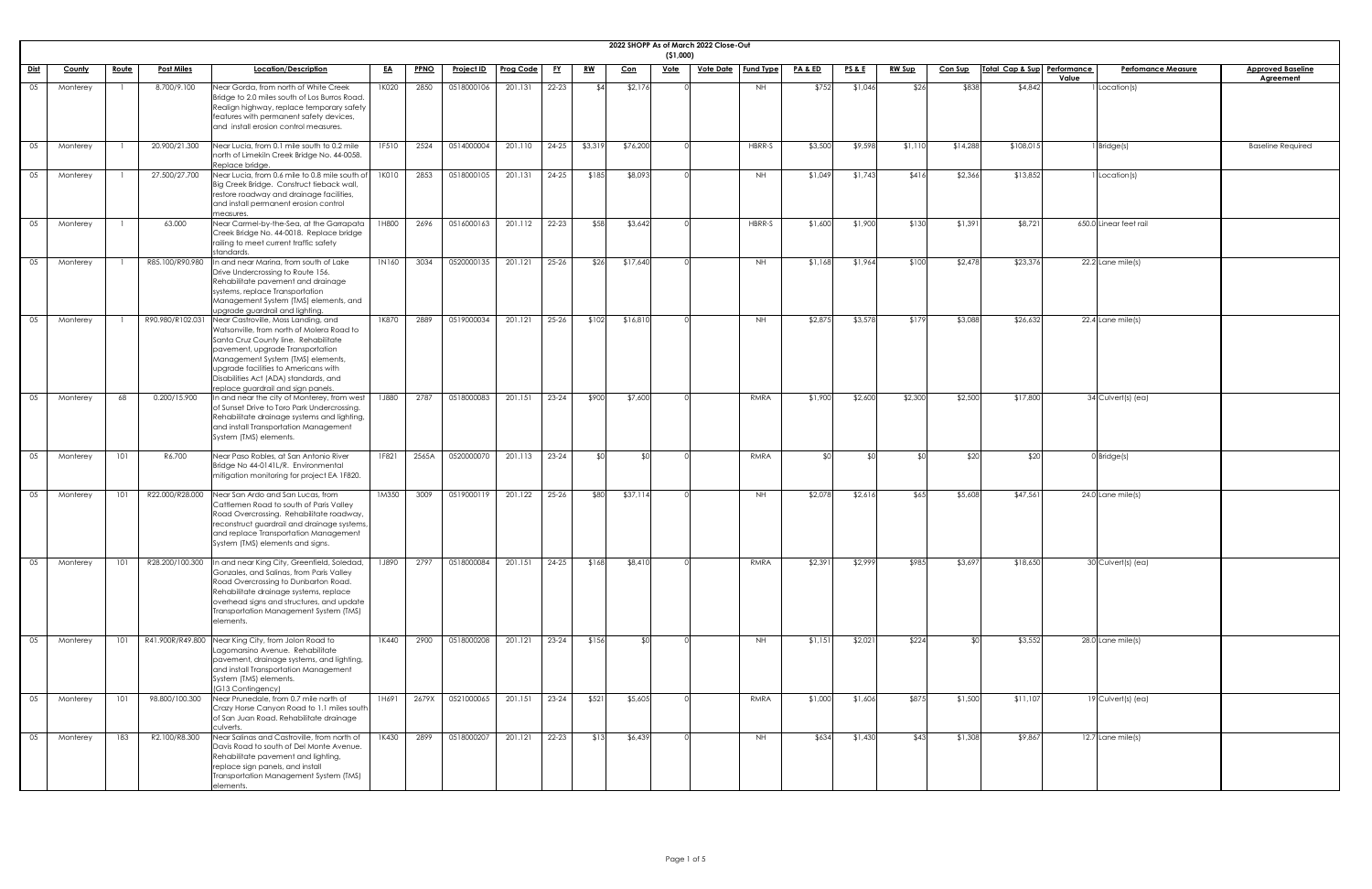|             | 2022 SHOPP As of March 2022 Close-Out<br>( \$1,000) |              |                   |                                                                                                                                                                                                                                                                                                                          |           |             |                                              |                  |           |           |            |             |                  |                  |                    |                 |               |                |                             |                                    |                                              |
|-------------|-----------------------------------------------------|--------------|-------------------|--------------------------------------------------------------------------------------------------------------------------------------------------------------------------------------------------------------------------------------------------------------------------------------------------------------------------|-----------|-------------|----------------------------------------------|------------------|-----------|-----------|------------|-------------|------------------|------------------|--------------------|-----------------|---------------|----------------|-----------------------------|------------------------------------|----------------------------------------------|
| <u>Dist</u> | <b>County</b>                                       | <u>Route</u> | <b>Post Miles</b> | Location/Description                                                                                                                                                                                                                                                                                                     | <u>EA</u> | <b>PPNO</b> | <b>Project ID</b>                            | <b>Prog Code</b> | <u>FY</u> | <u>RW</u> | <u>Con</u> | <u>Vote</u> | <u>Vote Date</u> | <b>Fund Type</b> | <u>PA &amp; ED</u> | <u>PS&amp;E</u> | <b>RW Sup</b> | <b>Con Sup</b> | Total Cap & Sup Performance | <b>Perfomance Measure</b><br>Value | <b>Approved Baseline</b><br><b>Agreement</b> |
| 05          | Monterey                                            |              | 8.700/9.100       | Near Gorda, from north of White Creek<br>Bridge to 2.0 miles south of Los Burros Road.<br>Realign highway, replace temporary safety<br>features with permanent safety devices,<br>and install erosion control measures.                                                                                                  | 1K020     | 2850        | 0518000106                                   | 201.131          | $22 - 23$ | \$4       | \$2,176    |             |                  | NH               | \$752              | \$1,046         | \$26          | \$838          | \$4,842                     | Location(s)                        |                                              |
| 05          | Monterey                                            |              | 20.900/21.300     | Near Lucia, from 0.1 mile south to 0.2 mile<br>north of Limekiln Creek Bridge No. 44-0058.<br>Replace bridge.                                                                                                                                                                                                            | 1F510     | 2524        | 0514000004                                   | 201.110          | $24-25$   | \$3,319   | \$76,200   |             |                  | HBRR-S           | \$3,500            | \$9,598         | \$1,110       | \$14,288       | \$108,015                   | I Bridge(s)                        | <b>Baseline Required</b>                     |
| 05          | Monterey                                            |              | 27.500/27.700     | Near Lucia, from 0.6 mile to 0.8 mile south of<br>Big Creek Bridge. Construct tieback wall,<br>restore roadway and drainage facilities,<br>and install permanent erosion control<br><b>Imeasures</b>                                                                                                                     | 1K010     | 2853        | 0518000105                                   | 201.131          | $24 - 25$ | \$185     | \$8,093    |             |                  | <b>NH</b>        | \$1,049            | \$1,743         | \$416         | \$2,366        | \$13,852                    | Location(s)                        |                                              |
| 05          | Monterey                                            |              | 63.000            | Near Carmel-by-the-Sea, at the Garrapata<br>Creek Bridge No. 44-0018. Replace bridge<br>railing to meet current traffic safety<br>standards.                                                                                                                                                                             | 1H800     | 2696        | 0516000163                                   | 201.112          | $22 - 23$ | \$58      | \$3,642    |             |                  | HBRR-S           | \$1,600            | \$1,900         | \$130         | \$1,391        | \$8,721                     | 650.0 Linear feet rail             |                                              |
| 05          | Monterey                                            |              | R85.100/R90.980   | In and near Marina, from south of Lake<br>Drive Undercrossing to Route 156.<br>Rehabilitate pavement and drainage<br>systems, replace Transportation<br>Management System (TMS) elements, and<br>upgrade guardrail and lighting.                                                                                         | 1N160     | 3034        | 0520000135                                   | 201.121          | $25 - 26$ | \$26      | \$17,640   |             |                  | NH               | \$1,168            | \$1,964         | \$100         | \$2,478        | \$23,376                    | $22.2$ Lane mile(s)                |                                              |
| 05          | Monterey                                            |              | R90.980/R102.031  | Near Castroville, Moss Landing, and<br>Watsonville, from north of Molera Road to<br>Santa Cruz County line. Rehabilitate<br>pavement, upgrade Transportation<br>Management System (TMS) elements,<br>upgrade facilities to Americans with<br>Disabilities Act (ADA) standards, and<br>replace guardrail and sign panels. | 1K870     | 2889        | 0519000034                                   | 201.121          | $25 - 26$ | \$102     | \$16,810   |             |                  | NH.              | \$2,875            | \$3,578         | \$179         | \$3,088        | \$26,632                    | 22.4 Lane mile(s)                  |                                              |
| 05          | Monterey                                            | 68           | 0.200/15.900      | In and near the city of Monterey, from west<br>of Sunset Drive to Toro Park Undercrossing.<br>Rehabilitate drainage systems and lighting,<br>and install Transportation Management<br>System (TMS) elements.                                                                                                             | 1J880     | 2787        | 0518000083                                   | 201.151          | $23 - 24$ | \$900     | \$7,600    |             |                  | RMRA             | \$1,900            | \$2,600         | \$2,300       | \$2,500        | \$17,800                    | 34 Culvert(s) (ea)                 |                                              |
| 05          | Monterey                                            | 101          | R6.700            | Near Paso Robles, at San Antonio River<br>Bridge No 44-0141L/R. Environmental<br>mitigation monitoring for project EA 1F820.                                                                                                                                                                                             | 1F821     | 2565A       | 0520000070                                   | 201.113          | $23 - 24$ | SO        | \$OI       |             |                  | RMRA             | \$0                | SO <sub>1</sub> |               | \$20           | \$2C                        | $0$ Bridge $(s)$                   |                                              |
| 05          | Monterey                                            | 101          | R22.000/R28.000   | Near San Ardo and San Lucas, from<br>Cattlemen Road to south of Paris Valley<br>Road Overcrossing. Rehabilitate roadway,<br>reconstruct guardrail and drainage systems,<br>and replace Transportation Management<br>System (TMS) elements and signs.                                                                     | 1M350     | 3009        | 0519000119                                   | 201.122          | $25 - 26$ | \$80      | \$37,114   |             |                  | <b>NH</b>        | \$2,078            | \$2,616         | \$65          | \$5,608        | \$47,561                    | $24.0$ Lane mile(s)                |                                              |
| 05          | Monterey                                            | 101          | R28.200/100.300   | In and near King City, Greenfield, Soledad,<br>Gonzales, and Salinas, from Paris Valley<br>Road Overcrossing to Dunbarton Road.<br>Rehabilitate drainage systems, replace<br>overhead signs and structures, and update<br>Transportation Management System (TMS)<br>elements.                                            | 1J890     | 2797        | 0518000084                                   | 201.151          | $24 - 25$ | \$168     | \$8,410    |             |                  | RMRA             | \$2,391            | \$2,999         | \$985         | \$3,697        | \$18,650                    | 30 Culvert(s) (ea)                 |                                              |
| 05          | Monterey                                            | 101          |                   | R41.900R/R49.800 Near King City, from Jolon Road to<br>Lagomarsino Avenue. Rehabilitate<br>pavement, drainage systems, and lighting,<br>and install Transportation Management<br>System (TMS) elements.<br>(G13 Contingency)                                                                                             | 1K440     | 2900        | 0518000208                                   | 201.121          | $23 - 24$ | \$156     | ¶∩\$       |             |                  | <b>NH</b>        | \$1,151            | \$2,021         | \$224         | \$∩            | \$3,552                     | $28.0$ Lane mile(s)                |                                              |
| 05          | Monterey                                            |              |                   | 101 98.800/100.300 Near Prunedale, from 0.7 mile north of<br>Crazy Horse Canyon Road to 1.1 miles south<br>of San Juan Road. Rehabilitate drainage<br>culverts.                                                                                                                                                          |           |             | $1H691$ 2679X 0521000065 201.151 23-24 \$521 |                  |           |           | \$5,605    |             |                  | RMRA             | \$1,000            | \$1,606         | \$875         | \$1,500        | \$11,107                    | 19 Culvert(s) (ea)                 |                                              |
| 05          | Monterey                                            | 183          | R2.100/R8.300     | Near Salinas and Castroville, from north of<br>Davis Road to south of Del Monte Avenue.<br>Rehabilitate pavement and lighting,<br>replace sign panels, and install<br>Transportation Management System (TMS)<br>elements.                                                                                                | 1K430     | 2899        | 0518000207                                   | 201.121          | $22 - 23$ | \$13      | \$6,439    |             |                  | NH               | \$634              | \$1,430         | \$43          | \$1,308        | \$9,867                     | $12.7$ Lane mile(s)                |                                              |

| ֖֖֖֖ׅ֪ׅׅׅ֚֚֚֚֚֚֚֚֚֚֚֚֚֚֬֝֝֝֝֝֝֝֬֝֬֝֬֝֬֝֬֝֬֝֬֝֬֝֬֝֬֝֬֝֬֝֬֝֬֝֬֝֬ |  |
|----------------------------------------------------------------|--|
|                                                                |  |
|                                                                |  |
|                                                                |  |
|                                                                |  |
|                                                                |  |
|                                                                |  |
|                                                                |  |
|                                                                |  |
|                                                                |  |
|                                                                |  |
|                                                                |  |
|                                                                |  |
|                                                                |  |
|                                                                |  |
|                                                                |  |
|                                                                |  |
|                                                                |  |
|                                                                |  |
|                                                                |  |
|                                                                |  |
|                                                                |  |
|                                                                |  |
|                                                                |  |
|                                                                |  |
|                                                                |  |
|                                                                |  |
|                                                                |  |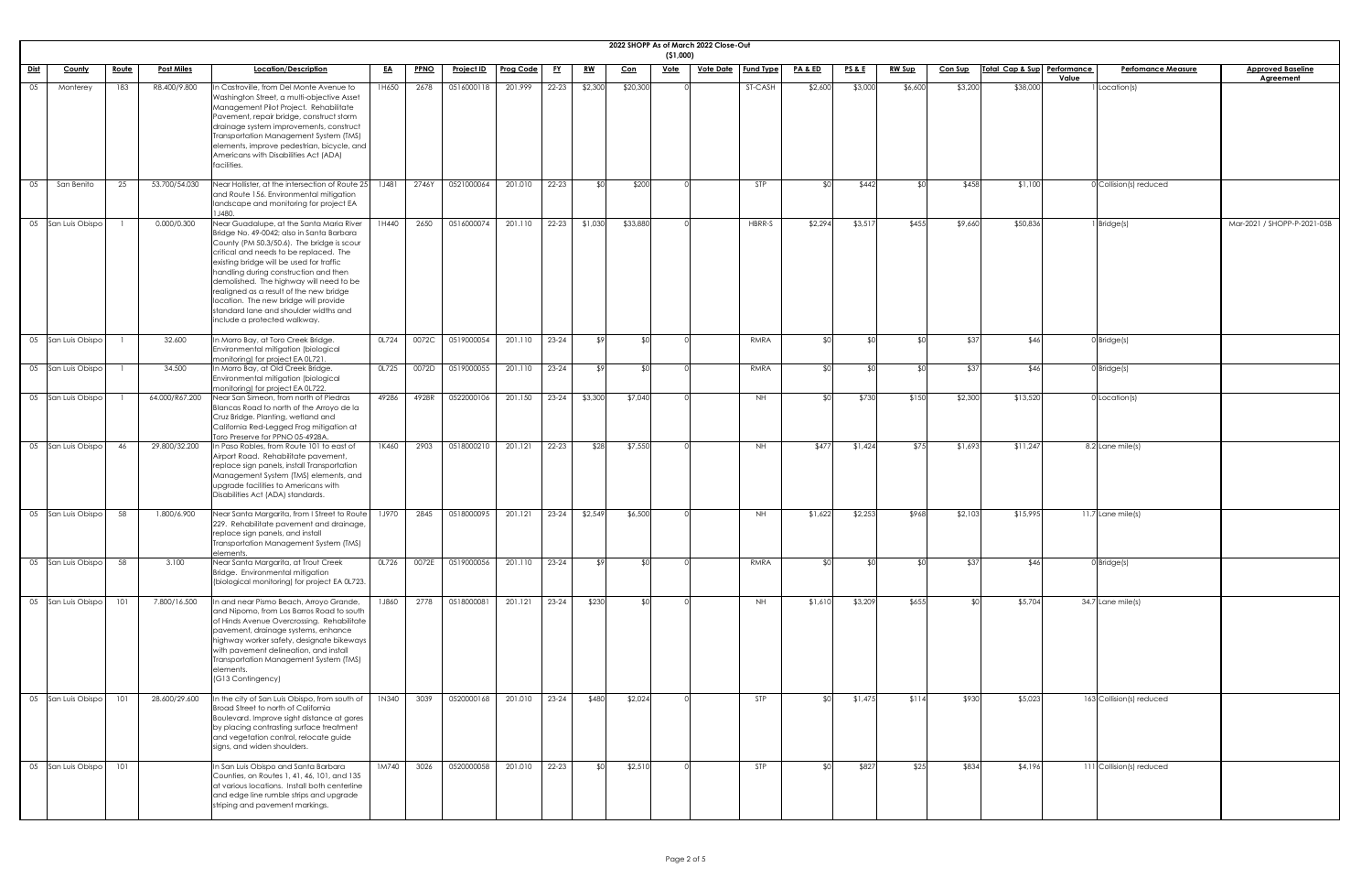| 2022 SHOPP As of March 2022 Close-Out<br>( \$1,000) |                   |                                                                                                                                                                                                                                                                                                                                                                                                                                                                            |           |             |                                      |                  |           |             |            |             |                  |                  |         |                 |               |                |                             |       |                           |                             |
|-----------------------------------------------------|-------------------|----------------------------------------------------------------------------------------------------------------------------------------------------------------------------------------------------------------------------------------------------------------------------------------------------------------------------------------------------------------------------------------------------------------------------------------------------------------------------|-----------|-------------|--------------------------------------|------------------|-----------|-------------|------------|-------------|------------------|------------------|---------|-----------------|---------------|----------------|-----------------------------|-------|---------------------------|-----------------------------|
| <u>Dist</u><br><u>Route</u><br><b>County</b>        | <b>Post Miles</b> | Location/Description                                                                                                                                                                                                                                                                                                                                                                                                                                                       | <u>EA</u> | <b>PPNO</b> | <u>Project ID</u>                    | <b>Prog Code</b> |           | <u>RW</u>   | <u>Con</u> | <u>Vote</u> | <u>Vote Date</u> | <b>Fund Type</b> | PA&ED   | <u>PS&amp;E</u> | <u>RW Sup</u> | <b>Con Sup</b> | Total Cap & Sup Performance |       | <b>Perfomance Measure</b> | <b>Approved Baseline</b>    |
| 05<br>Monterey<br>183                               | R8.400/9.800      | n Castroville, from Del Monte Avenue to<br>Washington Street, a multi-objective Asset<br>Management Pilot Project. Rehabilitate<br>Pavement, repair bridge, construct storm<br>drainage system improvements, construct<br>Transportation Management System (TMS)<br>elements, improve pedestrian, bicycle, and<br>Americans with Disabilities Act (ADA)                                                                                                                    | 1H650     | 2678        | 0516000118                           | 201.999          | 22-23     | \$2,300     | \$20,300   |             |                  | ST-CASH          | \$2,600 | \$3,000         | \$6,600       | \$3,200        | \$38,000                    | Value | 1 Location(s)             | <b>Agreement</b>            |
| 05<br>San Benito<br>25                              | 53.700/54.030     | facilities.<br>Near Hollister, at the intersection of Route 25   1J481<br>and Route 156. Environmental mitigation<br>landscape and monitoring for project EA<br>J480.                                                                                                                                                                                                                                                                                                      |           | 2746Y       | 0521000064                           | 201.010          | $22 - 23$ |             | \$200      |             |                  | STP              |         | \$442           |               | \$458          | \$1,100                     |       | $0$ Collision(s) reduced  |                             |
| 05 San Luis Obispo                                  | 0.000/0.300       | Near Guadalupe, at the Santa Maria River<br>Bridge No. 49-0042; also in Santa Barbara<br>County (PM 50.3/50.6). The bridge is scour<br>critical and needs to be replaced. The<br>existing bridge will be used for traffic<br>handling during construction and then<br>demolished. The highway will need to be<br>realigned as a result of the new bridge<br>location. The new bridge will provide<br>standard lane and shoulder widths and<br>include a protected walkway. | 1H440     | 2650        | 0516000074                           | 201.110          | 22-23     | \$1,030     | \$33,880   |             |                  | HBRR-S           | \$2,294 | \$3,517         | \$455         | \$9,660        | \$50,836                    |       | 1 Bridge(s)               | Mar-2021 / SHOPP-P-2021-05B |
| 05 San Luis Obispo                                  | 32.600            | In Morro Bay, at Toro Creek Bridge.<br>Environmental mitigation (biological<br>monitoring) for project EA 0L721.                                                                                                                                                                                                                                                                                                                                                           | OL724     | 0072C       | 0519000054                           | 201.110          | $23 - 24$ | .  የ        | ¶∩≵        |             |                  | RMRA             |         | $\Delta$        |               | \$37           | \$46                        |       | $0$ Bridge(s)             |                             |
| 05 San Luis Obispo                                  | 34.500            | In Morro Bay, at Old Creek Bridge.<br>Environmental mitigation (biological<br>monitoring) for project EA 0L722.                                                                                                                                                                                                                                                                                                                                                            |           |             | 0L725 0072D 0519000055 201.110 23-24 |                  |           |             |            |             |                  | RMRA             |         |                 |               | \$37           | \$46I                       |       | 0 Bridge(s)               |                             |
| 05 San Luis Obispo                                  | 64.000/R67.200    | Near San Simeon, from north of Piedras<br>Blancas Road to north of the Arroyo de la<br>Cruz Bridge. Planting, wetland and<br>California Red-Legged Frog mitigation at<br>Toro Preserve for PPNO 05-4928A.                                                                                                                                                                                                                                                                  | 49286     | 4928R       | 0522000106                           | 201.150          | 23-24     | \$3,300     | \$7,040    |             |                  | <b>NH</b>        |         | \$730           | \$150         | \$2,300        | \$13,520                    |       | $0$ Location(s)           |                             |
| 05 San Luis Obispo<br>46                            | 29.800/32.200     | In Paso Robles, from Route 101 to east of<br>Airport Road. Rehabilitate pavement,<br>replace sign panels, install Transportation<br>Management System (TMS) elements, and<br>upgrade facilities to Americans with<br>Disabilities Act (ADA) standards.                                                                                                                                                                                                                     | 1K460     | 2903        | 0518000210                           | 201.121          | 22-23     | \$28        | \$7,550    |             |                  | <b>NH</b>        | \$477   | \$1,424         | \$75          | \$1,693        | \$11,247                    |       | 8.2 Lane mile(s)          |                             |
| 05 San Luis Obispo<br>58                            | 1.800/6.900       | Near Santa Margarita, from I Street to Route   1J970  <br>229. Rehabilitate pavement and drainage,<br>replace sign panels, and install<br>Transportation Management System (TMS)<br>elements.                                                                                                                                                                                                                                                                              |           | 2845        | 0518000095                           | 201.121          | 23-24     | \$2,549     | \$6,500    |             |                  | <b>NH</b>        | \$1,622 | \$2,253         | \$968         | \$2,103        | \$15,995                    |       | $11.7$ Lane mile(s)       |                             |
| 05 San Luis Obispo<br>58                            | 3.100             | Near Santa Margarita, at Trout Creek<br>Bridge. Environmental mitigation<br>(biological monitoring) for project EA 0L723.                                                                                                                                                                                                                                                                                                                                                  | OL726     | 0072E       | 0519000056                           | 201.110          | 23-24     | <b>\$91</b> | ¶∩≱        |             |                  | RMRA             |         | ⊄∩              |               | \$37           | \$46                        |       | $0$ Bridge(s)             |                             |
| 101<br>05 San Luis Obispo                           | 7.800/16.500      | In and near Pismo Beach, Arroyo Grande,<br>and Nipomo, from Los Barros Road to south<br>of Hinds Avenue Overcrossing. Rehabilitate<br>pavement, drainage systems, enhance<br>highway worker safety, designate bikeways<br>with pavement delineation, and install<br>Transportation Management System (TMS)<br>elements.<br>(G13 Contingency)                                                                                                                               | 1J860     | 2778        | 0518000081                           | 201.121          | $23 - 24$ | \$230       | ്ടവ        |             |                  | <b>NH</b>        | \$1,610 | \$3,209         | \$655         | ו∩⊅            | \$5,704                     |       | 34.7 Lane mile(s)         |                             |
| 05 San Luis Obispo                                  | 28.600/29.600     | In the city of San Luis Obispo, from south of $\parallel$ 1N340 $\parallel$<br>Broad Street to north of California<br>Boulevard. Improve sight distance at gores<br>by placing contrasting surface treatment<br>and vegetation control, relocate guide<br>signs, and widen shoulders.                                                                                                                                                                                      |           | 3039        | 0520000168 201.010 23-24             |                  |           | \$480       | \$2,024    |             |                  |                  |         | \$1,475         | \$114         | \$930          | \$5,023                     |       | 163 Collision(s) reduced  |                             |
| 05 San Luis Obispo<br>101                           |                   | In San Luis Obispo and Santa Barbara<br>Counties, on Routes 1, 41, 46, 101, and 135<br>at various locations. Install both centerline<br>and edge line rumble strips and upgrade<br>striping and pavement markings.                                                                                                                                                                                                                                                         | 1M740     | 3026        | 0520000058                           | 201.010          | 22-23     |             | \$2,510    |             |                  | STP              |         | \$827           | \$25          | \$834          | \$4,196                     |       | 111 Collision(s) reduced  |                             |

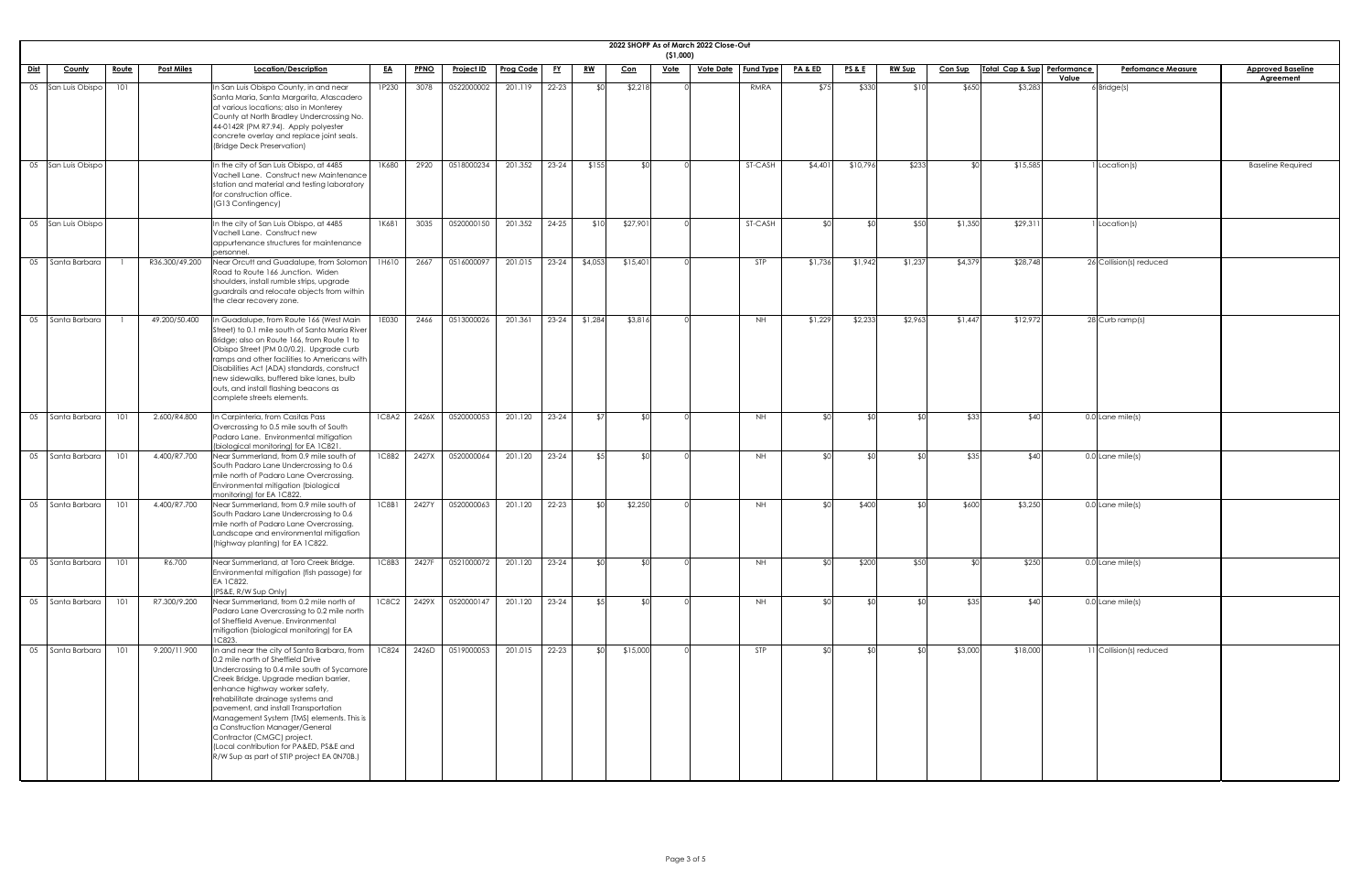|             | 2022 SHOPP As of March 2022 Close-Out<br>( \$1,000) |                    |              |                   |                                                                                                                                                                                                                                                                                                                                                                                                                                                                                               |              |       |                   |                  |           |             |            |             |                              |                    |                     |               |                |                             |                                    |                                       |
|-------------|-----------------------------------------------------|--------------------|--------------|-------------------|-----------------------------------------------------------------------------------------------------------------------------------------------------------------------------------------------------------------------------------------------------------------------------------------------------------------------------------------------------------------------------------------------------------------------------------------------------------------------------------------------|--------------|-------|-------------------|------------------|-----------|-------------|------------|-------------|------------------------------|--------------------|---------------------|---------------|----------------|-----------------------------|------------------------------------|---------------------------------------|
| <u>Dist</u> |                                                     | <b>County</b>      | <u>Route</u> | <b>Post Miles</b> | Location/Description                                                                                                                                                                                                                                                                                                                                                                                                                                                                          | <u>EA</u>    | PPNO  | <u>Project ID</u> | <b>Prog Code</b> | <u>FY</u> | <u>RW</u>   | <u>Con</u> | <u>Vote</u> | <u>Vote Date</u>   Fund Type | <u>PA &amp; ED</u> | <u>PS&amp;E</u>     | <b>RW Sup</b> | <u>Con Sup</u> | Total Cap & Sup Performance | <b>Perfomance Measure</b><br>Value | <b>Approved Baseline</b><br>Agreement |
|             |                                                     | 05 San Luis Obispo | 101          |                   | In San Luis Obispo County, in and near<br>Santa Maria, Santa Margarita, Atascadero<br>at various locations; also in Monterey<br>County at North Bradley Undercrossing No.<br>44-0142R (PM R7.94). Apply polyester<br>concrete overlay and replace joint seals.<br>(Bridge Deck Preservation)                                                                                                                                                                                                  | 1P230        | 3078  | 0522000002        | 201.119          | $22 - 23$ | \$Ր         | \$2,218    |             | RMRA                         | \$75               | \$330               | \$10          | \$650          | \$3,283                     | $6$ Bridge(s)                      |                                       |
|             |                                                     | 05 San Luis Obispo |              |                   | In the city of San Luis Obispo, at 4485<br>Vachell Lane. Construct new Maintenance<br>station and material and testing laboratory<br>for construction office.<br>(G13 Contingency)                                                                                                                                                                                                                                                                                                            | 1K680        | 2920  | 0518000234        | 201.352          | $23 - 24$ | \$155       |            |             | <b>ST-CASH</b>               | \$4,401            | \$10,796            | \$233         |                | \$15,585                    | Location(s)                        | <b>Baseline Required</b>              |
|             |                                                     | 05 San Luis Obispo |              |                   | In the city of San Luis Obispo, at 4485<br>Vachell Lane. Construct new<br>appurtenance structures for maintenance<br>personnel.                                                                                                                                                                                                                                                                                                                                                               | 1K681        | 3035  | 0520000150        | 201.352          | $24 - 25$ | \$10        | \$27,901   |             | ST-CASH                      |                    | ¶∩\$                | \$50          | \$1,350        | \$29,31                     | Location(s)                        |                                       |
|             | 05   Santa Barbara                                  |                    |              | R36.300/49.200    | Near Orcutt and Guadalupe, from Solomon<br>Road to Route 166 Junction. Widen<br>shoulders, install rumble strips, upgrade<br>guardrails and relocate objects from within<br>the clear recovery zone.                                                                                                                                                                                                                                                                                          | 1H610        | 2667  | 0516000097        | 201.015          | $23 - 24$ | \$4,053     | \$15,40    |             | <b>STP</b>                   | \$1,736            | \$1,942             | \$1,237       | \$4,379        | \$28,748                    | 26 Collision(s) reduced            |                                       |
|             |                                                     | 05   Santa Barbara |              | 49.200/50.400     | In Guadalupe, from Route 166 (West Main<br>Street) to 0.1 mile south of Santa Maria River<br>Bridge; also on Route 166, from Route 1 to<br>Obispo Street (PM 0.0/0.2). Upgrade curb<br>ramps and other facilities to Americans with<br>Disabilities Act (ADA) standards, construct<br>new sidewalks, buffered bike lanes, bulb<br>outs, and install flashing beacons as<br>complete streets elements.                                                                                         | 1E030        | 2466  | 0513000026        | 201.361          | $23 - 24$ | \$1,284     | \$3,816    |             | <b>NH</b>                    | \$1,229            | \$2,233             | \$2,963       | \$1,447        | \$12,972                    | $28$ Curb ramp(s)                  |                                       |
|             | 05   Santa Barbara                                  |                    | 101          | 2.600/R4.800      | In Carpinteria, from Casitas Pass<br>Overcrossing to 0.5 mile south of South<br>Padaro Lane. Environmental mitigation<br>(biological monitoring) for EA 1C821.                                                                                                                                                                                                                                                                                                                                | <b>1C8A2</b> | 2426X | 0520000053        | 201.120          | $23 - 24$ | \$7         |            |             | <b>NH</b>                    | _⊄∩                | _⊄∩∣                |               | \$33           | \$40                        | 0.0 Lane mile(s)                   |                                       |
|             | 05 Santa Barbara                                    |                    | 101          | 4.400/R7.700      | Near Summerland, from 0.9 mile south of<br>South Padaro Lane Undercrossing to 0.6<br>mile north of Padaro Lane Overcrossing.<br>Environmental mitigation (biological<br>monitoring) for EA 1C822.                                                                                                                                                                                                                                                                                             | 1C8B2        | 2427X | 0520000064        | 201.120          | $23 - 24$ | <b>\$51</b> |            |             | <b>NH</b>                    | _⊄∩                | ∖∩⊅                 |               | \$35           | \$40                        | 0.0 Lane mile(s)                   |                                       |
|             | 05   Santa Barbara                                  |                    | 101          | 4.400/R7.700      | Near Summerland, from 0.9 mile south of<br>South Padaro Lane Undercrossing to 0.6<br>mile north of Padaro Lane Overcrossing.<br>Landscape and environmental mitigation<br>(highway planting) for EA 1C822.                                                                                                                                                                                                                                                                                    | 1C8B1        | 2427Y | 0520000063        | 201.120          | $22 - 23$ | ላ የ         | \$2,250    |             | <b>NH</b>                    | _ ⊄∩               | \$400               |               | \$600          | \$3,250                     | 0.0 Lane mile(s)                   |                                       |
|             | 05 Santa Barbara                                    |                    | 101          | R6.700            | Near Summerland, at Toro Creek Bridge.<br>Environmental mitigation (fish passage) for<br>EA 1C822.<br>(PS&E, R/W Sup Only)                                                                                                                                                                                                                                                                                                                                                                    | 1C8B3        | 2427F | 0521000072        | 201.120          | $23 - 24$ |             |            |             | NH.                          |                    | \$200               | \$50          |                | \$250                       | 0.0 Lane mile(s)                   |                                       |
|             | 05   Santa Barbara                                  |                    | 101          | R7.300/9.200      | Near Summerland, from 0.2 mile north of<br>Padaro Lane Overcrossing to 0.2 mile north<br>of Sheffield Avenue. Environmental<br>mitigation (biological monitoring) for EA<br><b>1C823</b>                                                                                                                                                                                                                                                                                                      | <b>IC8C2</b> | 2429X | 0520000147        | 201.120          | $23 - 24$ |             |            |             | NH                           |                    | $\mathfrak{C} \cap$ |               | \$35           | \$40                        | 0.0 Lane mile(s)                   |                                       |
|             | 05   Santa Barbara                                  |                    | 101          | 9.200/11.900      | In and near the city of Santa Barbara, from<br>0.2 mile north of Sheffield Drive<br>Undercrossing to 0.4 mile south of Sycamore<br>Creek Bridge. Upgrade median barrier,<br>enhance highway worker safety,<br>rehabilitate drainage systems and<br>pavement, and install Transportation<br>Management System (TMS) elements. This is<br>a Construction Manager/General<br>Contractor (CMGC) project.<br>(Local contribution for PA&ED, PS&E and<br>R/W Sup as part of STIP project EA 0N70B.) | <b>1C824</b> | 2426D | 0519000053        | 201.015          | $22 - 23$ |             | \$15,000   |             | <b>STP</b>                   |                    | ¢Λ                  |               | \$3,000        | \$18,000                    | 11 Collision(s) reduced            |                                       |

| <u>ne</u> |  |  |
|-----------|--|--|
|           |  |  |
|           |  |  |
|           |  |  |
|           |  |  |
| d         |  |  |
|           |  |  |
|           |  |  |
|           |  |  |
|           |  |  |
|           |  |  |
|           |  |  |
|           |  |  |
|           |  |  |
|           |  |  |
|           |  |  |
|           |  |  |
|           |  |  |
|           |  |  |
|           |  |  |
|           |  |  |
|           |  |  |
|           |  |  |
|           |  |  |
|           |  |  |
|           |  |  |
|           |  |  |
|           |  |  |
|           |  |  |
|           |  |  |
|           |  |  |
|           |  |  |
|           |  |  |
|           |  |  |
|           |  |  |
|           |  |  |
|           |  |  |
|           |  |  |
|           |  |  |
|           |  |  |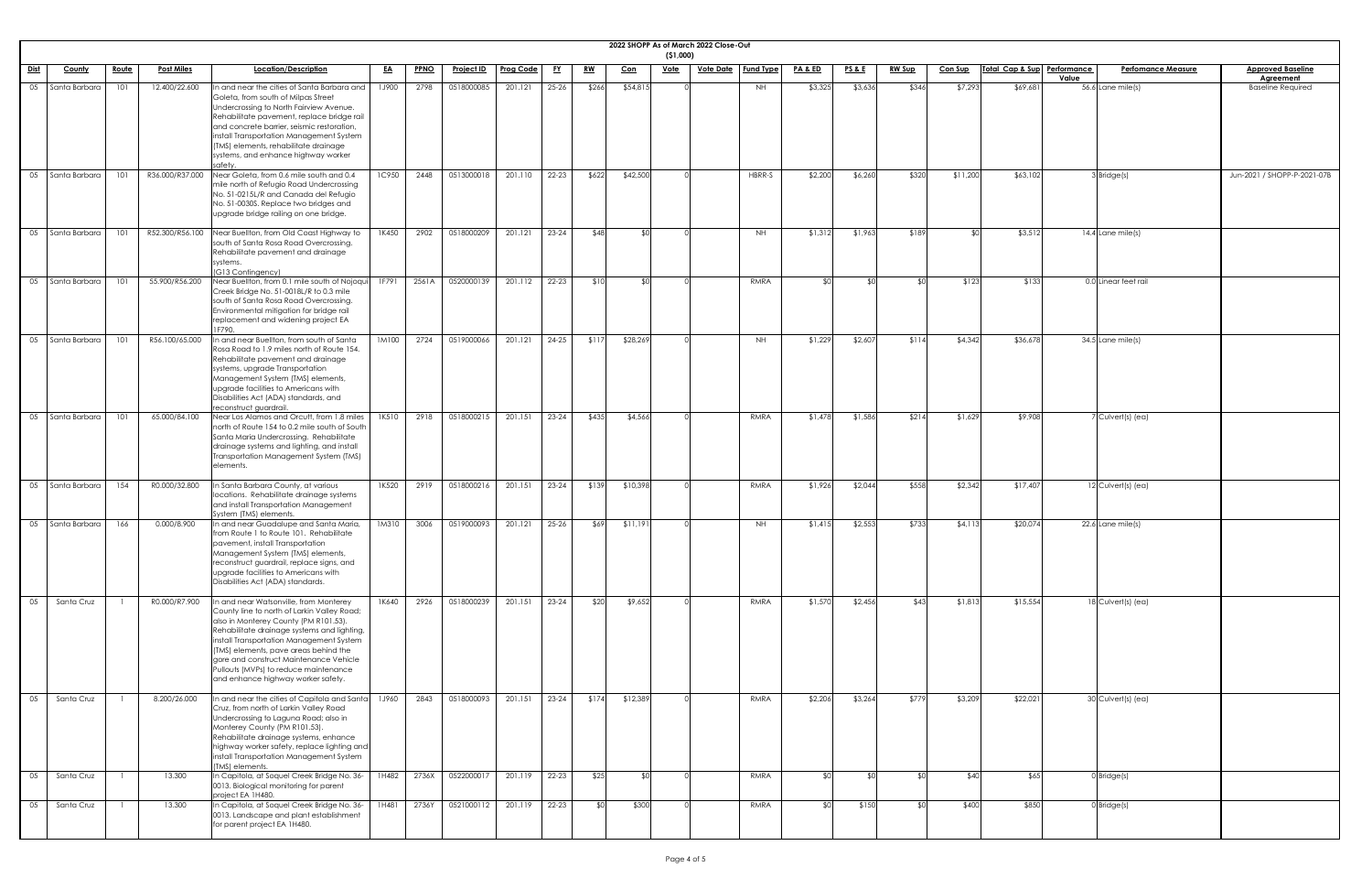|             | 2022 SHOPP As of March 2022 Close-Out<br>( \$1,000) |              |                   |                                                                                                                                                                                                                                                                                                                                                                                            |              |             |                   |               |           |           |            |             |                  |                  |                    |                 |               |                |                             |              |                           |                                       |
|-------------|-----------------------------------------------------|--------------|-------------------|--------------------------------------------------------------------------------------------------------------------------------------------------------------------------------------------------------------------------------------------------------------------------------------------------------------------------------------------------------------------------------------------|--------------|-------------|-------------------|---------------|-----------|-----------|------------|-------------|------------------|------------------|--------------------|-----------------|---------------|----------------|-----------------------------|--------------|---------------------------|---------------------------------------|
| <u>Dist</u> | <b>County</b>                                       | <u>Route</u> | <b>Post Miles</b> | Location/Description                                                                                                                                                                                                                                                                                                                                                                       | <u>EA</u>    | <b>PPNO</b> | <b>Project ID</b> | Prog Code     | <u>FY</u> | <u>RW</u> | <u>Con</u> | <u>Vote</u> | <u>Vote Date</u> | <b>Fund Type</b> | <b>PA &amp; ED</b> | <u>PS&amp;E</u> | <b>RW Sup</b> | <b>Con Sup</b> | Total Cap & Sup Performance | <b>Value</b> | <b>Perfomance Measure</b> | <b>Approved Baseline</b><br>Agreement |
| 05          | Santa Barbara                                       | 101          | 12.400/22.600     | n and near the cities of Santa Barbara and<br>Goleta, from south of Milpas Street<br>Undercrossing to North Fairview Avenue.<br>Rehabilitate pavement, replace bridge rail<br>and concrete barrier, seismic restoration,<br>install Transportation Management System<br>(TMS) elements, rehabilitate drainage<br>systems, and enhance highway worker<br>safety                             | 1J900        | 2798        | 0518000085        | 201.121       | $25 - 26$ | \$266     | \$54,815   |             |                  | <b>NH</b>        | \$3,325            | \$3,636         | \$346         | \$7,293        | \$69,681                    |              | 56.6 Lane mile(s)         | <b>Baseline Required</b>              |
| 05          | Santa Barbara                                       | 101          | R36.000/R37.000   | Near Goleta, from 0.6 mile south and 0.4<br>mile north of Refugio Road Undercrossing<br>No. 51-0215L/R and Canada del Refugio<br>No. 51-0030S. Replace two bridges and<br>upgrade bridge railing on one bridge.                                                                                                                                                                            | <b>1C950</b> | 2448        | 0513000018        | 201.110       | 22-23     | \$622     | \$42,500   |             |                  | HBRR-S           | \$2,200            | \$6,260         | \$320         | \$11,200       | \$63,102                    |              | Bridge(s)                 | Jun-2021 / SHOPP-P-2021-07B           |
| 05          | Santa Barbara                                       | 101          | R52.300/R56.100   | Near Buellton, from Old Coast Highway to<br>south of Santa Rosa Road Overcrossing.<br>Rehabilitate pavement and drainage<br>systems.<br>(G13 Contingency)                                                                                                                                                                                                                                  | 1K450        | 2902        | 0518000209        | 201.121       | $23 - 24$ | \$48      |            |             |                  | NH.              | \$1,312            | \$1,963         | \$189         | ו∩¢            | \$3,512                     |              | 14.4 Lane mile(s)         |                                       |
| 05          | Santa Barbara                                       | 101          | 55.900/R56.200    | Near Buellton, from 0.1 mile south of Nojoqui<br>Creek Bridge No. 51-0018L/R to 0.3 mile<br>south of Santa Rosa Road Overcrossing<br>Environmental mitigation for bridge rail<br>replacement and widening project EA<br>IF790.                                                                                                                                                             | 1F791        | 2561A       | 0520000139        | 201.112       | $22 - 23$ | \$10      | ና የ        |             |                  | RMRA             |                    |                 |               | \$123          | \$133                       |              | 0.0 Linear feet rail      |                                       |
| 05          | Santa Barbara                                       | 101          | R56.100/65.000    | n and near Buellton, from south of Santa<br>Rosa Road to 1.9 miles north of Route 154.<br>Rehabilitate pavement and drainage<br>systems, upgrade Transportation<br>Management System (TMS) elements,<br>upgrade facilities to Americans with<br>Disabilities Act (ADA) standards, and<br>reconstruct guardrail.                                                                            | 1M100        | 2724        | 0519000066        | 201.121       | $24 - 25$ | \$117     | \$28,269   |             |                  | <b>NH</b>        | \$1,229            | \$2,607         | \$114         | \$4,342        | \$36,678                    |              | $34.5$ Lane mile(s)       |                                       |
| 05          | Santa Barbara                                       | 101          | 65.000/84.100     | Near Los Alamos and Orcutt, from 1.8 miles<br>north of Route 154 to 0.2 mile south of South<br>Santa Maria Undercrossing. Rehabilitate<br>drainage systems and lighting, and install<br>Transportation Management System (TMS)<br>elements.                                                                                                                                                | 1K510        | 2918        | 0518000215        | 201.151       | $23 - 24$ | \$435     | \$4,566    |             |                  | RMRA             | \$1,478            | \$1,586         | \$214         | \$1,629        | \$9,908                     |              | 7 Culvert(s) (ea)         |                                       |
| 05          | Santa Barbara                                       | 154          | R0.000/32.800     | n Santa Barbara County, at various<br>locations. Rehabilitate drainage systems<br>and install Transportation Management<br>System (TMS) elements.                                                                                                                                                                                                                                          | 1K520        | 2919        | 0518000216        | 201.151       | $23 - 24$ | \$139     | \$10,398   |             |                  | RMRA             | \$1,926            | \$2,044         | \$558         | \$2,342        | \$17,407                    |              | 12 Culvert(s) (ea)        |                                       |
|             | 05   Santa Barbara                                  | 166          | 0.000/8.900       | In and near Guadalupe and Santa Maria,<br>from Route 1 to Route 101. Rehabilitate<br>pavement, install Transportation<br>Management System (TMS) elements,<br>reconstruct guardrail, replace signs, and<br>upgrade facilities to Americans with<br>Disabilities Act (ADA) standards.                                                                                                       | 1M310        | 3006        | 0519000093        | 201.121       | $25 - 26$ | \$69      | \$11,191   |             |                  | <b>NH</b>        | \$1,415            | \$2,553         | \$733         | \$4,113        | \$20,074                    |              | 22.6 Lane mile(s)         |                                       |
| 05          | Santa Cruz                                          |              | R0.000/R7.900     | n and near Watsonville, from Monterey<br>County line to north of Larkin Valley Road;<br>also in Monterey County (PM R101.53).<br>Rehabilitate drainage systems and lighting,<br>install Transportation Management System<br>(TMS) elements, pave areas behind the<br>gore and construct Maintenance Vehicle<br>Pullouts (MVPs) to reduce maintenance<br>and enhance highway worker safety. | 1K640        | 2926        | 0518000239        | 201.151       | $23 - 24$ | \$20      | \$9,652    |             |                  | RMRA             | \$1,570            | \$2,456         | \$43          | \$1,813        | \$15,554                    |              | $18$ Culvert(s) (ea)      |                                       |
|             | Santa Cruz                                          |              | 8.200/26.000      | In and near the cities of Capitola and Santa 1960 2843 0518000093 201.151 23-24 \$174<br>Cruz, from north of Larkin Valley Road<br>Undercrossing to Laguna Road; also in<br>Monterey County (PM R101.53).<br>Rehabilitate drainage systems, enhance<br>highway worker safety, replace lighting and<br>install Transportation Management System<br>(TMS) elements.                          |              |             |                   |               |           |           | \$12,389   |             |                  | RMRA             | \$2,206            | \$3,264         | \$779         | \$3,209        | \$22,021                    |              | 30 Culvert(s) (ea)        |                                       |
| 05          | Santa Cruz                                          |              | 13.300            | In Capitola, at Soquel Creek Bridge No. 36-<br>0013. Biological monitoring for parent<br>project EA 1H480.                                                                                                                                                                                                                                                                                 | 1H482        | 2736X       | 0522000017        | 201.119 22-23 |           | \$25      | ו∩≯        |             |                  | RMRA             |                    |                 |               | \$40           | \$65                        |              | $0$ Bridge $(s)$          |                                       |
| 05          | Santa Cruz                                          |              | 13.300            | In Capitola, at Soquel Creek Bridge No. 36-<br>0013. Landscape and plant establishment<br>for parent project EA 1H480.                                                                                                                                                                                                                                                                     | 1H481        | 2736Y       | 0521000112        | 201.119       |           |           | \$300      |             |                  | RMRA             | $\mathcal{L}$      | \$150           | $\mathcal{L}$ | \$400          | \$850                       |              | $0$ Bridge(s)             |                                       |

| $\overline{\mathbf{e}}$ |
|-------------------------|
| $\overline{a}$          |
|                         |
|                         |
|                         |
|                         |
|                         |
| $21 - 07B$              |
|                         |
|                         |
|                         |
|                         |
|                         |
|                         |
|                         |
|                         |
|                         |
|                         |
|                         |
|                         |
|                         |
|                         |
|                         |
|                         |
|                         |
|                         |
|                         |
|                         |
|                         |
|                         |
|                         |
|                         |
|                         |
|                         |
|                         |
|                         |
|                         |
|                         |
|                         |
|                         |
|                         |
|                         |
|                         |
|                         |
|                         |
|                         |
|                         |
|                         |
|                         |
|                         |
|                         |